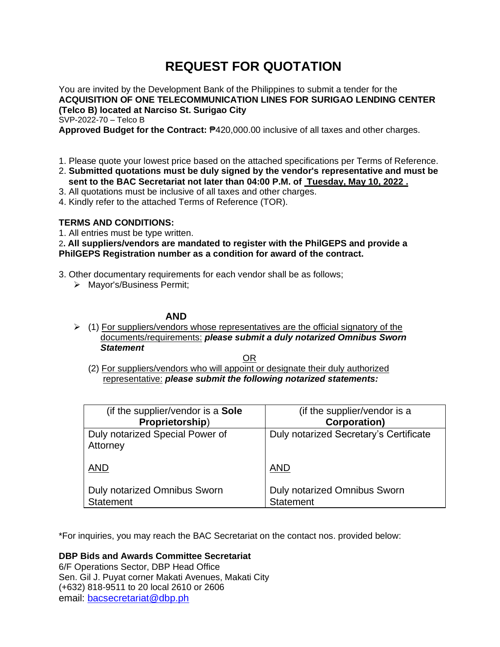# **REQUEST FOR QUOTATION**

You are invited by the Development Bank of the Philippines to submit a tender for the **ACQUISITION OF ONE TELECOMMUNICATION LINES FOR SURIGAO LENDING CENTER (Telco B) located at Narciso St. Surigao City** SVP-2022-70 – Telco B

**Approved Budget for the Contract:** ₱420,000.00 inclusive of all taxes and other charges.

- 1. Please quote your lowest price based on the attached specifications per Terms of Reference.
- 2. **Submitted quotations must be duly signed by the vendor's representative and must be sent to the BAC Secretariat not later than 04:00 P.M. of Tuesday, May 10, 2022 .**
- 3. All quotations must be inclusive of all taxes and other charges.
- 4. Kindly refer to the attached Terms of Reference (TOR).

### **TERMS AND CONDITIONS:**

1. All entries must be type written.

2**. All suppliers/vendors are mandated to register with the PhilGEPS and provide a PhilGEPS Registration number as a condition for award of the contract.**

- 3. Other documentary requirements for each vendor shall be as follows;
	- ➢ Mayor's/Business Permit;

## **AND**

 $\triangleright$  (1) For suppliers/vendors whose representatives are the official signatory of the documents/requirements: *please submit a duly notarized Omnibus Sworn Statement*

<u>OR Starting and the Starting OR Starting</u>

(2) For suppliers/vendors who will appoint or designate their duly authorized representative: *please submit the following notarized statements:*

| (if the supplier/vendor is a <b>Sole</b>    | (if the supplier/vendor is a           |
|---------------------------------------------|----------------------------------------|
| Proprietorship)                             | <b>Corporation)</b>                    |
| Duly notarized Special Power of<br>Attorney | Duly notarized Secretary's Certificate |
| <b>AND</b>                                  | <b>AND</b>                             |
| <b>Duly notarized Omnibus Sworn</b>         | <b>Duly notarized Omnibus Sworn</b>    |
| Statement                                   | Statement                              |

\*For inquiries, you may reach the BAC Secretariat on the contact nos. provided below:

### **DBP Bids and Awards Committee Secretariat**

6/F Operations Sector, DBP Head Office Sen. Gil J. Puyat corner Makati Avenues, Makati City (+632) 818-9511 to 20 local 2610 or 2606 email: [bacsecretariat@dbp.ph](mailto:bacsecretariat@dbp.ph)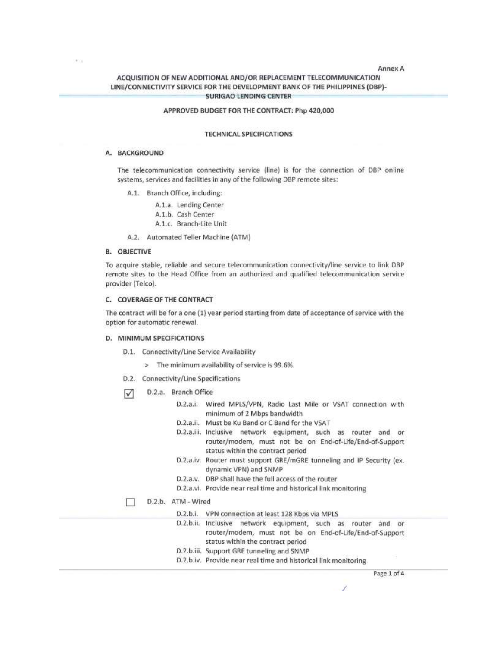#### Annex A

### ACQUISITION OF NEW ADDITIONAL AND/OR REPLACEMENT TELECOMMUNICATION LINE/CONNECTIVITY SERVICE FOR THE DEVELOPMENT BANK OF THE PHILIPPINES (DBP)-**SURIGAO LENDING CENTER**

#### APPROVED BUDGET FOR THE CONTRACT: Php 420,000

#### **TECHNICAL SPECIFICATIONS**

#### A. BACKGROUND

 $\mathcal{F}(\cdot)$ 

The telecommunication connectivity service (line) is for the connection of DBP online systems, services and facilities in any of the following DBP remote sites:

- A.1. Branch Office, including:
	- A.1.a. Lending Center
	- A.1.b. Cash Center
	- A.1.c. Branch-Lite Unit
- A.2. Automated Teller Machine (ATM)

#### **B. OBJECTIVE**

To acquire stable, reliable and secure telecommunication connectivity/line service to link DBP remote sites to the Head Office from an authorized and qualified telecommunication service provider (Telco).

### C. COVERAGE OF THE CONTRACT

The contract will be for a one (1) year period starting from date of acceptance of service with the option for automatic renewal.

#### D. MINIMUM SPECIFICATIONS

- D.1. Connectivity/Line Service Availability
	- > The minimum availability of service is 99.6%.
- D.2. Connectivity/Line Specifications
- D.2.a. Branch Office  $\sqrt{ }$

| <b>SHOWER</b> |                                                                                                                                                                     |
|---------------|---------------------------------------------------------------------------------------------------------------------------------------------------------------------|
|               | D.2.a.i. Wired MPLS/VPN, Radio Last Mile or VSAT connection with<br>minimum of 2 Mbps bandwidth                                                                     |
|               | Must be Ku Band or C Band for the VSAT<br>D.2.a.ii.                                                                                                                 |
|               | D.2.a.iii. Inclusive network equipment, such as router and<br>or.<br>router/modem, must not be on End-of-Life/End-of-Support<br>status within the contract period   |
|               | D.2.a.iv. Router must support GRE/mGRE tunneling and IP Security (ex.<br>dynamic VPN) and SNMP                                                                      |
|               | D.2.a.v. DBP shall have the full access of the router                                                                                                               |
|               | D.2.a.vi. Provide near real time and historical link monitoring                                                                                                     |
| D.2.b.        | ATM - Wired                                                                                                                                                         |
|               | VPN connection at least 128 Kbps via MPLS<br>D.2.b.i.                                                                                                               |
|               | D.2.b.ii. Inclusive network equipment, such as router<br>and<br>or.<br>router/modem, must not be on End-of-Life/End-of-Support<br>status within the contract period |
|               | D.2.b.iii. Support GRE tunneling and SNMP                                                                                                                           |
|               | D.2.b.iv. Provide near real time and historical link monitoring                                                                                                     |

Page 1 of 4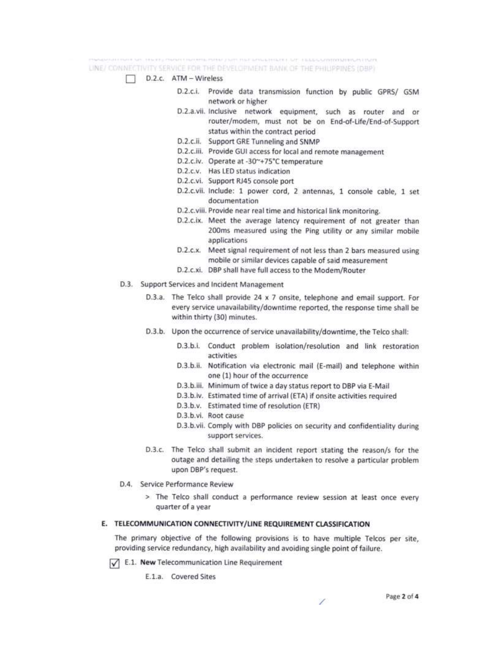LINE/ CONNECTIVITY SERVICE FOR THE DEVELOPMENT BANK OF THE PHILIPPINES (DBP)

### D.2.c. ATM - Wireless

- D.2.c.i. Provide data transmission function by public GPRS/ GSM network or higher
- D.2.a.vii. Inclusive network equipment, such as router and or router/modem, must not be on End-of-Life/End-of-Support status within the contract period
- D.2.c.ii. Support GRE Tunneling and SNMP
- D.2.c.iii. Provide GUI access for local and remote management
- D.2.c.iv. Operate at -30"+75°C temperature
- D.2.c.v. Has LED status indication
- D.2.c.vi. Support RJ45 console port
- D.2.c.vii. Include: 1 power cord, 2 antennas, 1 console cable, 1 set documentation
- D.2.c.viii. Provide near real time and historical link monitoring.
- D.2.c.ix. Meet the average latency requirement of not greater than 200ms measured using the Ping utility or any similar mobile applications
- D.2.c.x. Meet signal requirement of not less than 2 bars measured using mobile or similar devices capable of said measurement
- D.2.c.xi. DBP shall have full access to the Modem/Router
- D.3. Support Services and Incident Management
	- D.3.a. The Telco shall provide 24 x 7 onsite, telephone and email support. For every service unavailability/downtime reported, the response time shall be within thirty (30) minutes.
	- D.3.b. Upon the occurrence of service unavailability/downtime, the Telco shall:
		- D.3.b.i. Conduct problem isolation/resolution and link restoration activities
		- D.3.b.ii. Notification via electronic mail (E-mail) and telephone within one (1) hour of the occurrence
		- D.3.b.iii. Minimum of twice a day status report to DBP via E-Mail
		- D.3.b.iv. Estimated time of arrival (ETA) if onsite activities required
		- D.3.b.v. Estimated time of resolution (ETR)
		- D.3.b.vi. Root cause
		- D.3.b.vii. Comply with DBP policies on security and confidentiality during support services.
	- D.3.c. The Telco shall submit an incident report stating the reason/s for the outage and detailing the steps undertaken to resolve a particular problem upon DBP's request.
- D.4. Service Performance Review
	- > The Telco shall conduct a performance review session at least once every quarter of a year

### E. TELECOMMUNICATION CONNECTIVITY/LINE REQUIREMENT CLASSIFICATION

The primary objective of the following provisions is to have multiple Telcos per site. providing service redundancy, high availability and avoiding single point of failure.

 $\sqrt{\phantom{a}}$  E.1. New Telecommunication Line Requirement

E.1.a. Covered Sites

7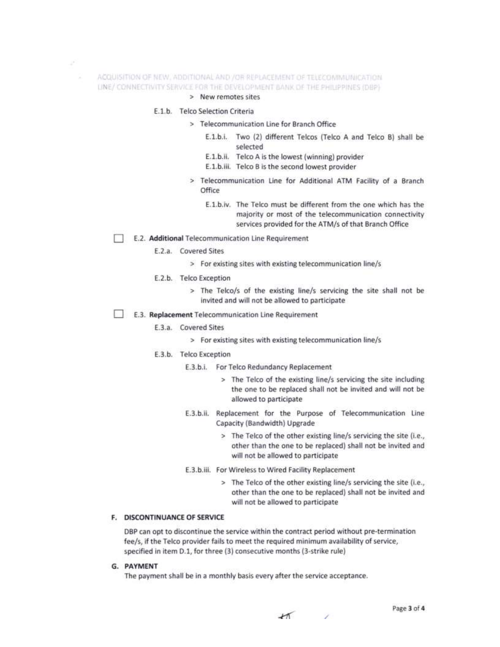- ACQUISITION OF NEW, ADDITIONAL AND /OR REPLACEMENT OF TELECONIMUNICATION LINE/ CONNECTIVITY SERVICE FOR THE DEVELOPMENT BANK OF THE PHILIPPINES (DBP)
	- > New remotes sites

### E.1.b. Telco Selection Criteria

z, x

- > Telecommunication Line for Branch Office
	- E.1.b.i. Two (2) different Telcos (Telco A and Telco B) shall be selected
	- E.1.b.ii. Telco A is the lowest (winning) provider
	- E.1.b.iii. Telco B is the second lowest provider
- > Telecommunication Line for Additional ATM Facility of a Branch Office
	- E.1.b.iv. The Telco must be different from the one which has the majority or most of the telecommunication connectivity services provided for the ATM/s of that Branch Office
- E.2. Additional Telecommunication Line Requirement
	- E.2.a. Covered Sites
		- > For existing sites with existing telecommunication line/s

#### E.2.b. Telco Exception

- > The Telco/s of the existing line/s servicing the site shall not be invited and will not be allowed to participate
- E.3. Replacement Telecommunication Line Requirement

#### E.3.a. Covered Sites

- > For existing sites with existing telecommunication line/s
- E.3.b. Telco Exception
	- E.3.b.i. For Telco Redundancy Replacement
		- > The Telco of the existing line/s servicing the site including the one to be replaced shall not be invited and will not be allowed to participate
	- E.3.b.ii. Replacement for the Purpose of Telecommunication Line Capacity (Bandwidth) Upgrade
		- > The Telco of the other existing line/s servicing the site (i.e., other than the one to be replaced) shall not be invited and will not be allowed to participate
	- E.3.b.iii. For Wireless to Wired Facility Replacement
		- > The Telco of the other existing line/s servicing the site (i.e., other than the one to be replaced) shall not be invited and will not be allowed to participate

#### F. DISCONTINUANCE OF SERVICE

DBP can opt to discontinue the service within the contract period without pre-termination fee/s, if the Telco provider fails to meet the required minimum availability of service, specified in item D.1, for three (3) consecutive months (3-strike rule)

G. PAYMENT

The payment shall be in a monthly basis every after the service acceptance.